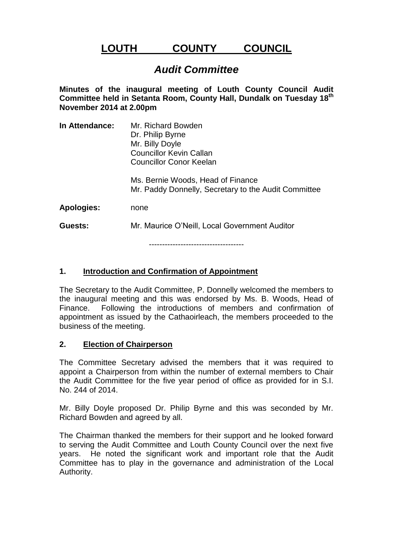# **LOUTH COUNTY COUNCIL**

# *Audit Committee*

**Minutes of the inaugural meeting of Louth County Council Audit Committee held in Setanta Room, County Hall, Dundalk on Tuesday 18th November 2014 at 2.00pm**

| In Attendance:    | Mr. Richard Bowden<br>Dr. Philip Byrne<br>Mr. Billy Doyle<br><b>Councillor Kevin Callan</b><br>Councillor Conor Keelan |
|-------------------|------------------------------------------------------------------------------------------------------------------------|
|                   | Ms. Bernie Woods, Head of Finance<br>Mr. Paddy Donnelly, Secretary to the Audit Committee                              |
| <b>Apologies:</b> | none                                                                                                                   |
| Guests:           | Mr. Maurice O'Neill, Local Government Auditor                                                                          |
|                   |                                                                                                                        |

------------------------------------

#### **1. Introduction and Confirmation of Appointment**

The Secretary to the Audit Committee, P. Donnelly welcomed the members to the inaugural meeting and this was endorsed by Ms. B. Woods, Head of Finance. Following the introductions of members and confirmation of appointment as issued by the Cathaoirleach, the members proceeded to the business of the meeting.

#### **2. Election of Chairperson**

The Committee Secretary advised the members that it was required to appoint a Chairperson from within the number of external members to Chair the Audit Committee for the five year period of office as provided for in S.I. No. 244 of 2014.

Mr. Billy Doyle proposed Dr. Philip Byrne and this was seconded by Mr. Richard Bowden and agreed by all.

The Chairman thanked the members for their support and he looked forward to serving the Audit Committee and Louth County Council over the next five years. He noted the significant work and important role that the Audit Committee has to play in the governance and administration of the Local Authority.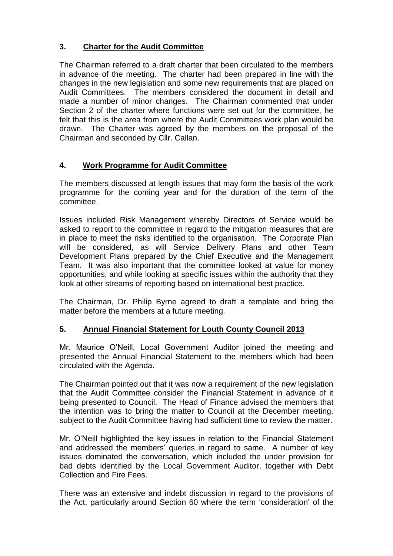#### **3. Charter for the Audit Committee**

The Chairman referred to a draft charter that been circulated to the members in advance of the meeting. The charter had been prepared in line with the changes in the new legislation and some new requirements that are placed on Audit Committees. The members considered the document in detail and made a number of minor changes. The Chairman commented that under Section 2 of the charter where functions were set out for the committee, he felt that this is the area from where the Audit Committees work plan would be drawn. The Charter was agreed by the members on the proposal of the Chairman and seconded by Cllr. Callan.

#### **4. Work Programme for Audit Committee**

The members discussed at length issues that may form the basis of the work programme for the coming year and for the duration of the term of the committee.

Issues included Risk Management whereby Directors of Service would be asked to report to the committee in regard to the mitigation measures that are in place to meet the risks identified to the organisation. The Corporate Plan will be considered, as will Service Delivery Plans and other Team Development Plans prepared by the Chief Executive and the Management Team. It was also important that the committee looked at value for money opportunities, and while looking at specific issues within the authority that they look at other streams of reporting based on international best practice.

The Chairman, Dr. Philip Byrne agreed to draft a template and bring the matter before the members at a future meeting.

#### **5. Annual Financial Statement for Louth County Council 2013**

Mr. Maurice O'Neill, Local Government Auditor joined the meeting and presented the Annual Financial Statement to the members which had been circulated with the Agenda.

The Chairman pointed out that it was now a requirement of the new legislation that the Audit Committee consider the Financial Statement in advance of it being presented to Council. The Head of Finance advised the members that the intention was to bring the matter to Council at the December meeting, subject to the Audit Committee having had sufficient time to review the matter.

Mr. O'Neill highlighted the key issues in relation to the Financial Statement and addressed the members' queries in regard to same. A number of key issues dominated the conversation, which included the under provision for bad debts identified by the Local Government Auditor, together with Debt Collection and Fire Fees.

There was an extensive and indebt discussion in regard to the provisions of the Act, particularly around Section 60 where the term 'consideration' of the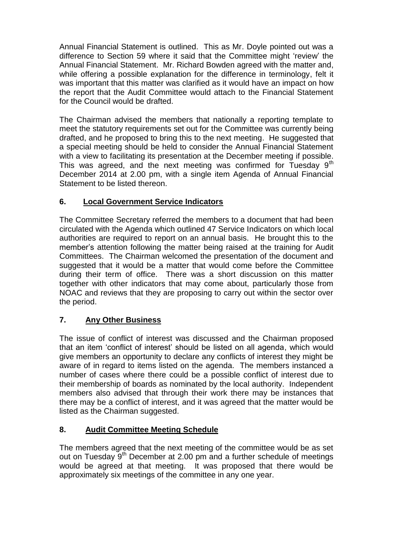Annual Financial Statement is outlined. This as Mr. Doyle pointed out was a difference to Section 59 where it said that the Committee might 'review' the Annual Financial Statement. Mr. Richard Bowden agreed with the matter and, while offering a possible explanation for the difference in terminology, felt it was important that this matter was clarified as it would have an impact on how the report that the Audit Committee would attach to the Financial Statement for the Council would be drafted.

The Chairman advised the members that nationally a reporting template to meet the statutory requirements set out for the Committee was currently being drafted, and he proposed to bring this to the next meeting. He suggested that a special meeting should be held to consider the Annual Financial Statement with a view to facilitating its presentation at the December meeting if possible. This was agreed, and the next meeting was confirmed for Tuesday  $9<sup>th</sup>$ December 2014 at 2.00 pm, with a single item Agenda of Annual Financial Statement to be listed thereon.

## **6. Local Government Service Indicators**

The Committee Secretary referred the members to a document that had been circulated with the Agenda which outlined 47 Service Indicators on which local authorities are required to report on an annual basis. He brought this to the member's attention following the matter being raised at the training for Audit Committees. The Chairman welcomed the presentation of the document and suggested that it would be a matter that would come before the Committee during their term of office. There was a short discussion on this matter together with other indicators that may come about, particularly those from NOAC and reviews that they are proposing to carry out within the sector over the period.

## **7. Any Other Business**

The issue of conflict of interest was discussed and the Chairman proposed that an item 'conflict of interest' should be listed on all agenda, which would give members an opportunity to declare any conflicts of interest they might be aware of in regard to items listed on the agenda. The members instanced a number of cases where there could be a possible conflict of interest due to their membership of boards as nominated by the local authority. Independent members also advised that through their work there may be instances that there may be a conflict of interest, and it was agreed that the matter would be listed as the Chairman suggested.

#### **8. Audit Committee Meeting Schedule**

The members agreed that the next meeting of the committee would be as set out on Tuesday  $9<sup>th</sup>$  December at 2.00 pm and a further schedule of meetings would be agreed at that meeting. It was proposed that there would be approximately six meetings of the committee in any one year.